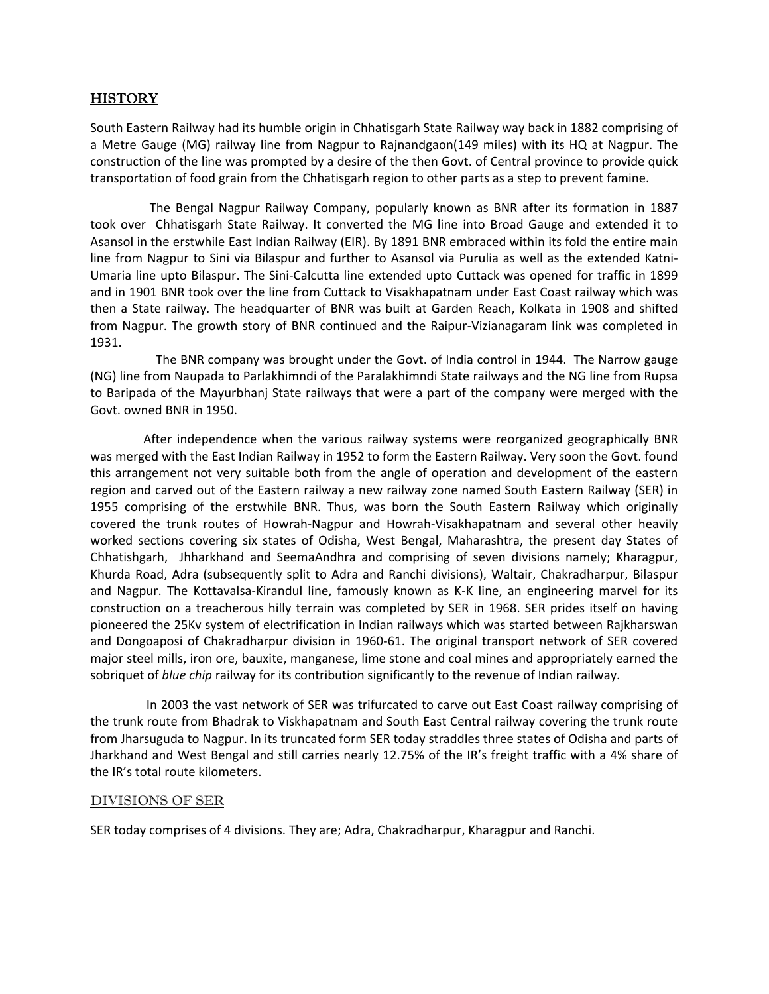## **HISTORY**

South Eastern Railway had its humble origin in Chhatisgarh State Railway way back in 1882 comprising of a Metre Gauge (MG) railway line from Nagpur to Rajnandgaon(149 miles) with its HQ at Nagpur. The construction of the line was prompted by a desire of the then Govt. of Central province to provide quick transportation of food grain from the Chhatisgarh region to other parts as a step to prevent famine.

 The Bengal Nagpur Railway Company, popularly known as BNR after its formation in 1887 took over Chhatisgarh State Railway. It converted the MG line into Broad Gauge and extended it to Asansol in the erstwhile East Indian Railway (EIR). By 1891 BNR embraced within its fold the entire main line from Nagpur to Sini via Bilaspur and further to Asansol via Purulia as well as the extended Katni‐ Umaria line upto Bilaspur. The Sini‐Calcutta line extended upto Cuttack was opened for traffic in 1899 and in 1901 BNR took over the line from Cuttack to Visakhapatnam under East Coast railway which was then a State railway. The headquarter of BNR was built at Garden Reach, Kolkata in 1908 and shifted from Nagpur. The growth story of BNR continued and the Raipur‐Vizianagaram link was completed in 1931.

 The BNR company was brought under the Govt. of India control in 1944. The Narrow gauge (NG) line from Naupada to Parlakhimndi of the Paralakhimndi State railways and the NG line from Rupsa to Baripada of the Mayurbhanj State railways that were a part of the company were merged with the Govt. owned BNR in 1950.

 After independence when the various railway systems were reorganized geographically BNR was merged with the East Indian Railway in 1952 to form the Eastern Railway. Very soon the Govt. found this arrangement not very suitable both from the angle of operation and development of the eastern region and carved out of the Eastern railway a new railway zone named South Eastern Railway (SER) in 1955 comprising of the erstwhile BNR. Thus, was born the South Eastern Railway which originally covered the trunk routes of Howrah‐Nagpur and Howrah‐Visakhapatnam and several other heavily worked sections covering six states of Odisha, West Bengal, Maharashtra, the present day States of Chhatishgarh, Jhharkhand and SeemaAndhra and comprising of seven divisions namely; Kharagpur, Khurda Road, Adra (subsequently split to Adra and Ranchi divisions), Waltair, Chakradharpur, Bilaspur and Nagpur. The Kottavalsa-Kirandul line, famously known as K-K line, an engineering marvel for its construction on a treacherous hilly terrain was completed by SER in 1968. SER prides itself on having pioneered the 25Kv system of electrification in Indian railways which was started between Rajkharswan and Dongoaposi of Chakradharpur division in 1960‐61. The original transport network of SER covered major steel mills, iron ore, bauxite, manganese, lime stone and coal mines and appropriately earned the sobriquet of *blue chip* railway for its contribution significantly to the revenue of Indian railway.

 In 2003 the vast network of SER was trifurcated to carve out East Coast railway comprising of the trunk route from Bhadrak to Viskhapatnam and South East Central railway covering the trunk route from Jharsuguda to Nagpur. In its truncated form SER today straddles three states of Odisha and parts of Jharkhand and West Bengal and still carries nearly 12.75% of the IR's freight traffic with a 4% share of the IR's total route kilometers.

## DIVISIONS OF SER

SER today comprises of 4 divisions. They are; Adra, Chakradharpur, Kharagpur and Ranchi.